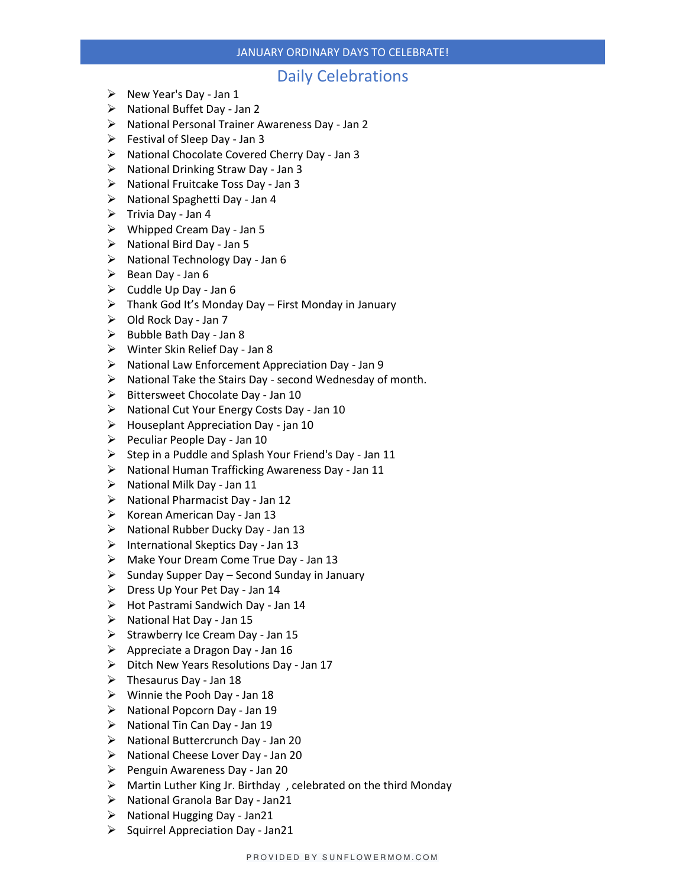### JANUARY ORDINARY DAYS TO CELEBRATE!

### Daily Celebrations

- $\triangleright$  New Year's Day Jan 1
- ➢ National Buffet Day Jan 2
- ➢ National Personal Trainer Awareness Day Jan 2
- $\triangleright$  Festival of Sleep Day Jan 3
- ➢ National Chocolate Covered Cherry Day Jan 3
- ➢ National Drinking Straw Day Jan 3
- ➢ National Fruitcake Toss Day Jan 3
- ➢ National Spaghetti Day Jan 4
- ➢ Trivia Day Jan 4
- ➢ Whipped Cream Day Jan 5
- ➢ National Bird Day Jan 5
- $\triangleright$  National Technology Day Jan 6
- $\triangleright$  Bean Day Jan 6
- $\triangleright$  Cuddle Up Day Jan 6
- $\triangleright$  Thank God It's Monday Day First Monday in January
- $\triangleright$  Old Rock Day Jan 7
- $\triangleright$  Bubble Bath Day Jan 8
- ➢ Winter Skin Relief Day Jan 8
- ➢ National Law Enforcement Appreciation Day Jan 9
- ➢ National Take the Stairs Day second Wednesday of month.
- ➢ Bittersweet Chocolate Day Jan 10
- ➢ National Cut Your Energy Costs Day Jan 10
- ➢ Houseplant Appreciation Day jan 10
- $\triangleright$  Peculiar People Day Jan 10
- ➢ Step in a Puddle and Splash Your Friend's Day Jan 11
- ➢ National Human Trafficking Awareness Day Jan 11
- ➢ National Milk Day Jan 11
- ➢ National Pharmacist Day Jan 12
- ➢ Korean American Day Jan 13
- ➢ National Rubber Ducky Day Jan 13
- ➢ International Skeptics Day Jan 13
- ➢ Make Your Dream Come True Day Jan 13
- $\triangleright$  Sunday Supper Day Second Sunday in January
- ➢ Dress Up Your Pet Day Jan 14
- ➢ Hot Pastrami Sandwich Day Jan 14
- ➢ National Hat Day Jan 15
- $\triangleright$  Strawberry Ice Cream Day Jan 15
- $\triangleright$  Appreciate a Dragon Day Jan 16
- ➢ Ditch New Years Resolutions Day Jan 17
- $\triangleright$  Thesaurus Day Jan 18
- ➢ Winnie the Pooh Day Jan 18
- ➢ National Popcorn Day Jan 19
- ➢ National Tin Can Day Jan 19
- ➢ National Buttercrunch Day Jan 20
- ➢ National Cheese Lover Day Jan 20
- ➢ Penguin Awareness Day Jan 20
- $\triangleright$  Martin Luther King Jr. Birthday, celebrated on the third Monday
- ➢ National Granola Bar Day Jan21
- ➢ National Hugging Day Jan21
- $\triangleright$  Squirrel Appreciation Day Jan21